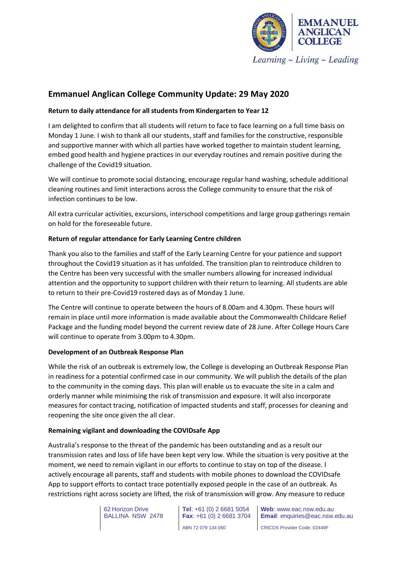

# **Emmanuel Anglican College Community Update: 29 May 2020**

# **Return to daily attendance for all students from Kindergarten to Year 12**

I am delighted to confirm that all students will return to face to face learning on a full time basis on Monday 1 June. I wish to thank all our students, staff and families for the constructive, responsible and supportive manner with which all parties have worked together to maintain student learning, embed good health and hygiene practices in our everyday routines and remain positive during the challenge of the Covid19 situation.

We will continue to promote social distancing, encourage regular hand washing, schedule additional cleaning routines and limit interactions across the College community to ensure that the risk of infection continues to be low.

All extra curricular activities, excursions, interschool competitions and large group gatherings remain on hold for the foreseeable future.

# **Return of regular attendance for Early Learning Centre children**

Thank you also to the families and staff of the Early Learning Centre for your patience and support throughout the Covid19 situation as it has unfolded. The transition plan to reintroduce children to the Centre has been very successful with the smaller numbers allowing for increased individual attention and the opportunity to support children with their return to learning. All students are able to return to their pre-Covid19 rostered days as of Monday 1 June.

The Centre will continue to operate between the hours of 8.00am and 4.30pm. These hours will remain in place until more information is made available about the Commonwealth Childcare Relief Package and the funding model beyond the current review date of 28 June. After College Hours Care will continue to operate from 3.00pm to 4.30pm.

#### **Development of an Outbreak Response Plan**

While the risk of an outbreak is extremely low, the College is developing an Outbreak Response Plan in readiness for a potential confirmed case in our community. We will publish the details of the plan to the community in the coming days. This plan will enable us to evacuate the site in a calm and orderly manner while minimising the risk of transmission and exposure. It will also incorporate measures for contact tracing, notification of impacted students and staff, processes for cleaning and reopening the site once given the all clear.

#### **Remaining vigilant and downloading the COVIDsafe App**

Australia's response to the threat of the pandemic has been outstanding and as a result our transmission rates and loss of life have been kept very low. While the situation is very positive at the moment, we need to remain vigilant in our efforts to continue to stay on top of the disease. I actively encourage all parents, staff and students with mobile phones to download the COVIDsafe App to support efforts to contact trace potentially exposed people in the case of an outbreak. As restrictions right across society are lifted, the risk of transmission will grow. Any measure to reduce

> 62 Horizon Drive BALLINA NSW 2478

**Tel**: +61 (0) 2 6681 5054 **Fax**: +61 (0) 2 6681 3704 ABN 72 079 134 060

**Web**: www.eac.nsw.edu.au **Email**: enquiries@eac.nsw.edu.au CRICOS Provider Code: 02449F